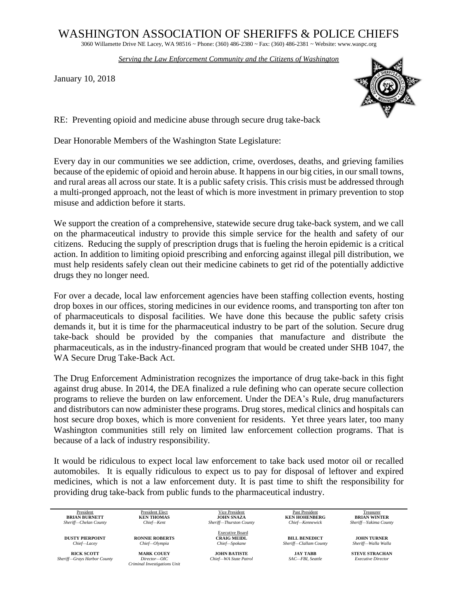## WASHINGTON ASSOCIATION OF SHERIFFS & POLICE CHIEFS

3060 Willamette Drive NE Lacey, WA 98516 ~ Phone: (360) 486-2380 ~ Fax: (360) 486-2381 ~ Website: www.waspc.org

*Serving the Law Enforcement Community and the Citizens of Washington* 

January 10, 2018



RE: Preventing opioid and medicine abuse through secure drug take-back

Dear Honorable Members of the Washington State Legislature:

Every day in our communities we see addiction, crime, overdoses, deaths, and grieving families because of the epidemic of opioid and heroin abuse. It happens in our big cities, in our small towns, and rural areas all across our state. It is a public safety crisis. This crisis must be addressed through a multi-pronged approach, not the least of which is more investment in primary prevention to stop misuse and addiction before it starts.

We support the creation of a comprehensive, statewide secure drug take-back system, and we call on the pharmaceutical industry to provide this simple service for the health and safety of our citizens. Reducing the supply of prescription drugs that is fueling the heroin epidemic is a critical action. In addition to limiting opioid prescribing and enforcing against illegal pill distribution, we must help residents safely clean out their medicine cabinets to get rid of the potentially addictive drugs they no longer need.

For over a decade, local law enforcement agencies have been staffing collection events, hosting drop boxes in our offices, storing medicines in our evidence rooms, and transporting ton after ton of pharmaceuticals to disposal facilities. We have done this because the public safety crisis demands it, but it is time for the pharmaceutical industry to be part of the solution. Secure drug take-back should be provided by the companies that manufacture and distribute the pharmaceuticals, as in the industry-financed program that would be created under SHB 1047, the WA Secure Drug Take-Back Act.

The Drug Enforcement Administration recognizes the importance of drug take-back in this fight against drug abuse. In 2014, the DEA finalized a rule defining who can operate secure collection programs to relieve the burden on law enforcement. Under the DEA's Rule, drug manufacturers and distributors can now administer these programs. Drug stores, medical clinics and hospitals can host secure drop boxes, which is more convenient for residents. Yet three years later, too many Washington communities still rely on limited law enforcement collection programs. That is because of a lack of industry responsibility.

It would be ridiculous to expect local law enforcement to take back used motor oil or recalled automobiles. It is equally ridiculous to expect us to pay for disposal of leftover and expired medicines, which is not a law enforcement duty. It is past time to shift the responsibility for providing drug take-back from public funds to the pharmaceutical industry.

| President                   | President Elect              | Vice President          | Past President         | Treasurer                 |
|-----------------------------|------------------------------|-------------------------|------------------------|---------------------------|
| <b>BRIAN BURNETT</b>        | <b>KEN THOMAS</b>            | JOHN SNAZA              | <b>KEN HOHENBERG</b>   | <b>BRIAN WINTER</b>       |
| Sheriff-Chelan County       | Chief-Kent                   | Sheriff-Thurston County | Chief-Kennewick        | Sheriff-Yakima County     |
|                             |                              | <b>Executive Board</b>  |                        |                           |
| <b>DUSTY PIERPOINT</b>      | <b>RONNIE ROBERTS</b>        | <b>CRAIG MEIDL</b>      | <b>BILL BENEDICT</b>   | JOHN TURNER               |
| Chief-Lacey                 | Chief-Olympia                | Chief-Spokane           | Sheriff-Clallam County | Sheriff-Walla Walla       |
| <b>RICK SCOTT</b>           | <b>MARK COUEY</b>            | <b>JOHN BATISTE</b>     | JAY TABB               | <b>STEVE STRACHAN</b>     |
| Sheriff-Grays Harbor County | Director-OIC                 | Chief-WA State Patrol   | SAC-FBI. Seattle       | <b>Executive Director</b> |
|                             | Criminal Investigations Unit |                         |                        |                           |
|                             |                              |                         |                        |                           |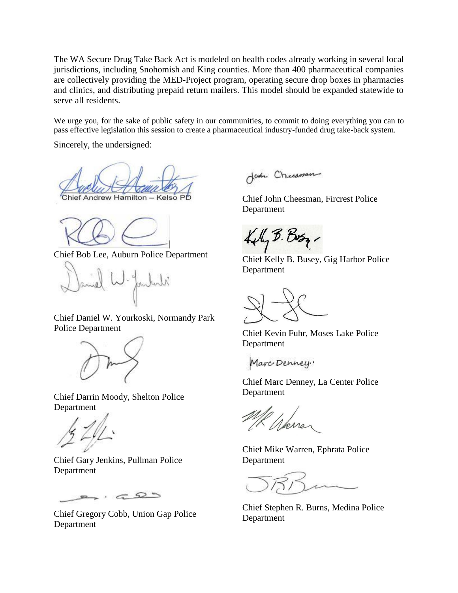The WA Secure Drug Take Back Act is modeled on health codes already working in several local jurisdictions, including Snohomish and King counties. More than 400 pharmaceutical companies are collectively providing the MED-Project program, operating secure drop boxes in pharmacies and clinics, and distributing prepaid return mailers. This model should be expanded statewide to serve all residents.

We urge you, for the sake of public safety in our communities, to commit to doing everything you can to pass effective legislation this session to create a pharmaceutical industry-funded drug take-back system.

Sincerely, the undersigned:

Chief Andrew Hamilton - Kelso F

Chief Bob Lee, Auburn Police Department

aniel W. Jonkati

Chief Daniel W. Yourkoski, Normandy Park Police Department



Chief Darrin Moody, Shelton Police Department

Chief Gary Jenkins, Pullman Police Department

 $2.42$ 

Chief Gregory Cobb, Union Gap Police Department

John Chicaman

Chief John Cheesman, Fircrest Police Department

Kely B. Boy

Chief Kelly B. Busey, Gig Harbor Police Department

Chief Kevin Fuhr, Moses Lake Police Department

Marc Denney.

Chief Marc Denney, La Center Police Department

l Warre

Chief Mike Warren, Ephrata Police Department

Chief Stephen R. Burns, Medina Police Department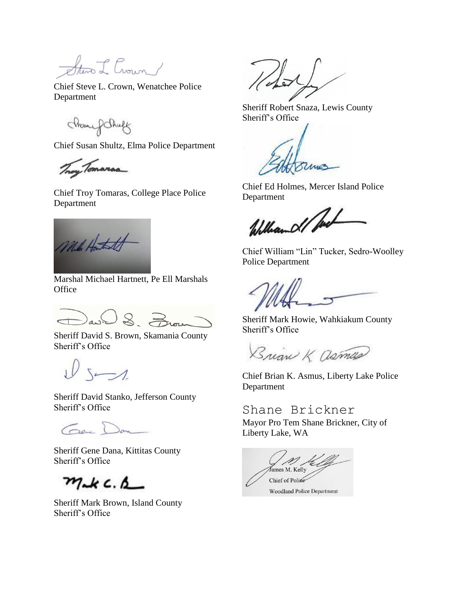Steve L Crown /

Chief Steve L. Crown, Wenatchee Police Department

mone f Shuff

Chief Susan Shultz, Elma Police Department

Troy Tomarsa

Chief Troy Tomaras, College Place Police Department

Mile Hartest

Marshal Michael Hartnett, Pe Ell Marshals **Office** 

David S. Zuou

Sheriff David S. Brown, Skamania County Sheriff's Office

 $W$ 

Sheriff David Stanko, Jefferson County Sheriff's Office

Gene Dan

Sheriff Gene Dana, Kittitas County Sheriff's Office

 $m_{nk}$   $c_{nk}$ 

Sheriff Mark Brown, Island County Sheriff's Office

 $\sqrt{2}$ 

Sheriff Robert Snaza, Lewis County Sheriff's Office

ZAMES

Chief Ed Holmes, Mercer Island Police Department

William d/ Part

Chief William "Lin" Tucker, Sedro-Woolley Police Department

Sheriff Mark Howie, Wahkiakum County Sheriff's Office

Brian K asmas

Chief Brian K. Asmus, Liberty Lake Police Department

Shane Brickner Mayor Pro Tem Shane Brickner, City of Liberty Lake, WA

James M. Kelly Chief of Police **Woodland Police Department**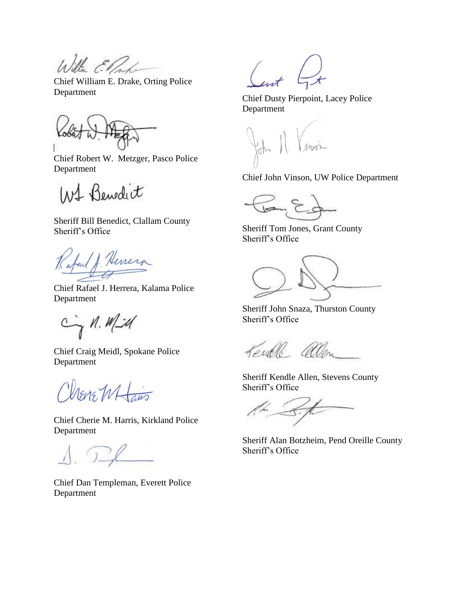Willia Ellad

Chief William E. Drake, Orting Police Department

Chief Robert W. Metzger, Pasco Police Department

W1 Benedit

Sheriff Bill Benedict, Clallam County Sheriff's Office

Laid J. Henera

Chief Rafael J. Herrera, Kalama Police Department

Cin Mid

Chief Craig Meidl, Spokane Police Department

Chevre W Laws

Chief Cherie M. Harris, Kirkland Police Department

 $\bigcap$ 

Chief Dan Templeman, Everett Police Department

Chief Dusty Pierpoint, Lacey Police Department

Chief John Vinson, UW Police Department

Sheriff Tom Jones, Grant County Sheriff's Office

Sheriff John Snaza, Thurston County Sheriff's Office

Kendle allen

Sheriff Kendle Allen, Stevens County Sheriff's Office

 $\begin{array}{cc} \begin{array}{cc} \begin{array}{cc} \end{array} & \end{array} \end{array}$ 

Sheriff Alan Botzheim, Pend Oreille County Sheriff's Office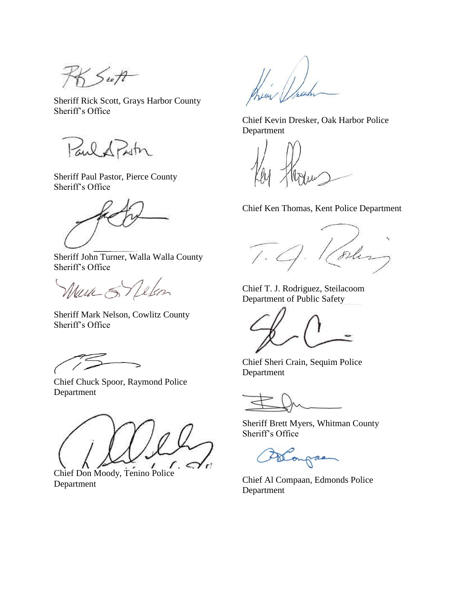$55.5$ 

Sheriff Rick Scott, Grays Harbor County Sheriff's Office

Paul A Putn

Sheriff Paul Pastor, Pierce County Sheriff's Office

Sheriff John Turner, Walla Walla County Sheriff's Office

Werk S Delon

Sheriff Mark Nelson, Cowlitz County Sheriff's Office

Chief Chuck Spoor, Raymond Police Department



Chief Don Moody, Tenino Police Department

them the

Chief Kevin Dresker, Oak Harbor Police Department

Chief Ken Thomas, Kent Police Department

T. g. Koles

Chief T. J. Rodriguez, Steilacoom Department of Public Safety

Chief Sheri Crain, Sequim Police Department

Sheriff Brett Myers, Whitman County Sheriff's Office

Blongan

Chief Al Compaan, Edmonds Police Department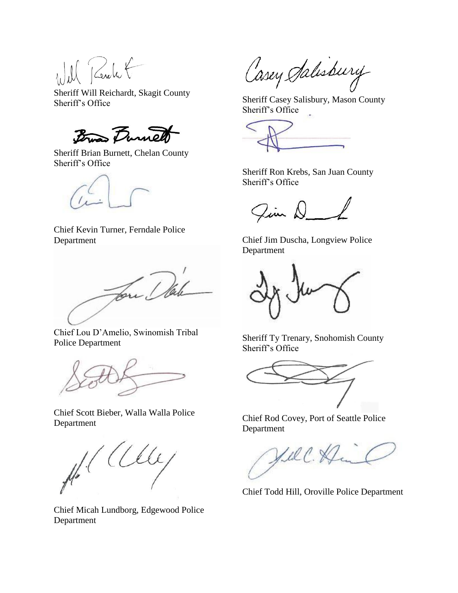Il Rentit

Sheriff Will Reichardt, Skagit County Sheriff's Office

Bras Durnell

Sheriff Brian Burnett, Chelan County Sheriff's Office

Chief Kevin Turner, Ferndale Police Department

Low Dale

Chief Lou D'Amelio, Swinomish Tribal Police Department



Chief Scott Bieber, Walla Walla Police Department

 $\mu^{\prime}$  (Cly

Chief Micah Lundborg, Edgewood Police Department

Casey Salisbury

Sheriff Casey Salisbury, Mason County Sheriff's Office

Sheriff Ron Krebs, San Juan County Sheriff's Office

Jim D

Chief Jim Duscha, Longview Police Department

Sheriff Ty Trenary, Snohomish County Sheriff's Office

Chief Rod Covey, Port of Seattle Police Department

Hell. Him

Chief Todd Hill, Oroville Police Department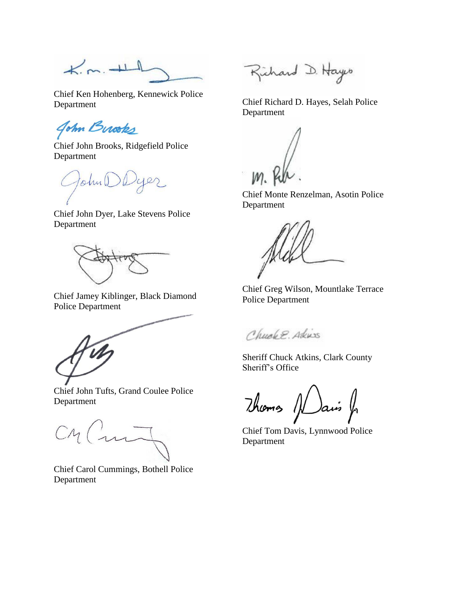$K.m. +1$ 

Chief Ken Hohenberg, Kennewick Police Department

John Burooks

Chief John Brooks, Ridgefield Police Department

John

Chief John Dyer, Lake Stevens Police Department

Chief Jamey Kiblinger, Black Diamond Police Department

Chief John Tufts, Grand Coulee Police Department

CM Cui

Chief Carol Cummings, Bothell Police Department

Richard D. Hayes

Chief Richard D. Hayes, Selah Police Department

Chief Monte Renzelman, Asotin Police Department

Chief Greg Wilson, Mountlake Terrace Police Department

Church P. Atkins

Sheriff Chuck Atkins, Clark County Sheriff's Office

Thoms Nais

Chief Tom Davis, Lynnwood Police Department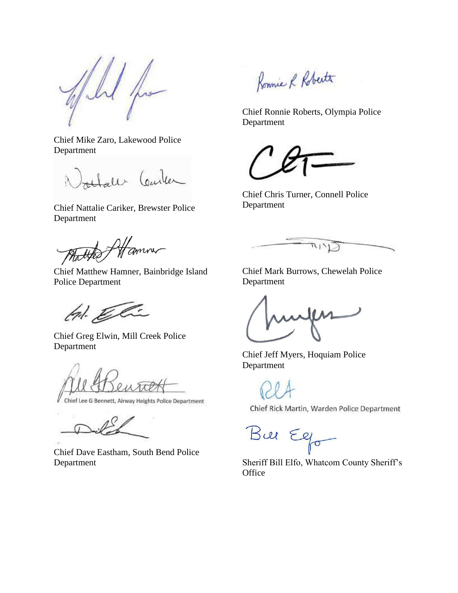$\mu$ 

Chief Mike Zaro, Lakewood Police Department

Alaler Center

Chief Nattalie Cariker, Brewster Police Department

talked Affanna

Chief Matthew Hamner, Bainbridge Island Police Department

tal. Eli

Chief Greg Elwin, Mill Creek Police Department

Chief Lee G Bennett, Airway Heights Police Department

Chief Dave Eastham, South Bend Police Department

Ronnie R Robertt

Chief Ronnie Roberts, Olympia Police Department

Chief Chris Turner, Connell Police Department

 $R/Y$ 

Chief Mark Burrows, Chewelah Police Department

Chief Jeff Myers, Hoquiam Police Department

Chief Rick Martin, Warden Police Department

Bue Ego

Sheriff Bill Elfo, Whatcom County Sheriff's **Office**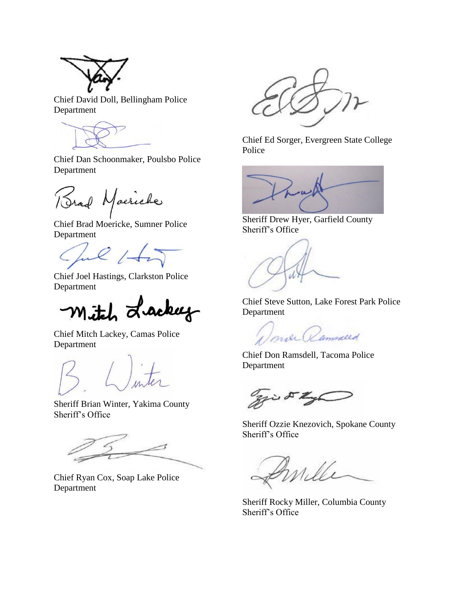

Chief David Doll, Bellingham Police Department

Chief Dan Schoonmaker, Poulsbo Police Department

Brad Macriche

Chief Brad Moericke, Sumner Police Department

Jul 1+5

Chief Joel Hastings, Clarkston Police Department

Mitch Lackey

Chief Mitch Lackey, Camas Police Department

Sheriff Brian Winter, Yakima County Sheriff's Office

Chief Ryan Cox, Soap Lake Police Department

Chief Ed Sorger, Evergreen State College Police



Sheriff Drew Hyer, Garfield County Sheriff's Office

Chief Steve Sutton, Lake Forest Park Police Department

mar Ramsalld

Chief Don Ramsdell, Tacoma Police Department

zi DI

Sheriff Ozzie Knezovich, Spokane County Sheriff's Office

mille  $\sim$ 

Sheriff Rocky Miller, Columbia County Sheriff's Office